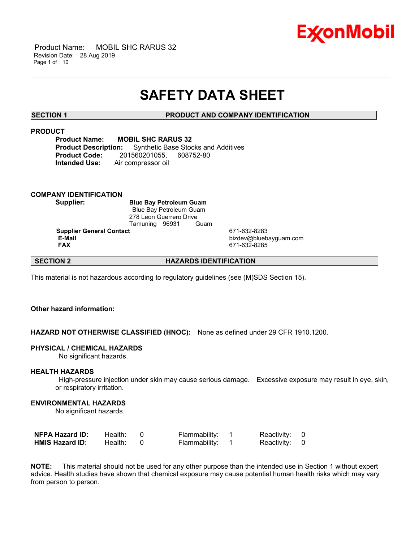

 Product Name: MOBIL SHC RARUS 32 Revision Date: 28 Aug 2019 Page 1 of 10

## **SAFETY DATA SHEET**

\_\_\_\_\_\_\_\_\_\_\_\_\_\_\_\_\_\_\_\_\_\_\_\_\_\_\_\_\_\_\_\_\_\_\_\_\_\_\_\_\_\_\_\_\_\_\_\_\_\_\_\_\_\_\_\_\_\_\_\_\_\_\_\_\_\_\_\_\_\_\_\_\_\_\_\_\_\_\_\_\_\_\_\_\_\_\_\_\_\_\_\_\_\_\_\_\_\_\_\_\_\_\_\_\_\_\_\_\_\_\_\_\_\_\_\_\_\_

#### **SECTION 1 PRODUCT AND COMPANY IDENTIFICATION**

### **PRODUCT**

**Product Name: MOBIL SHC RARUS 32 Product Description:** Synthetic Base Stocks and Additives **Product Code:** 201560201055, 608752-80 **Intended Use:** Air compressor oil

#### **COMPANY IDENTIFICATION**

**Supplier: Blue Bay Petroleum Guam** Blue Bay Petroleum Guam 278 Leon Guerrero Drive<br>Tamuning 96931 Guam Tamuning 96931

**Supplier General Contact** 671-632-8283<br> **E-Mail** bizdev@blueb  **E-Mail** bizdev@bluebayguam.com

 **FAX** 671-632-8285

#### **SECTION 2 HAZARDS IDENTIFICATION**

This material is not hazardous according to regulatory guidelines (see (M)SDS Section 15).

### **Other hazard information:**

#### **HAZARD NOT OTHERWISE CLASSIFIED (HNOC):** None as defined under 29 CFR 1910.1200.

#### **PHYSICAL / CHEMICAL HAZARDS**

No significant hazards.

#### **HEALTH HAZARDS**

 High-pressure injection under skin may cause serious damage. Excessive exposure may result in eye, skin, or respiratory irritation.

#### **ENVIRONMENTAL HAZARDS**

No significant hazards.

| <b>NFPA Hazard ID:</b> | Health: | Flammability: | Reactivity: 0 |  |
|------------------------|---------|---------------|---------------|--|
| <b>HMIS Hazard ID:</b> | Health: | Flammability: | Reactivity: 0 |  |

**NOTE:** This material should not be used for any other purpose than the intended use in Section 1 without expert advice. Health studies have shown that chemical exposure may cause potential human health risks which may vary from person to person.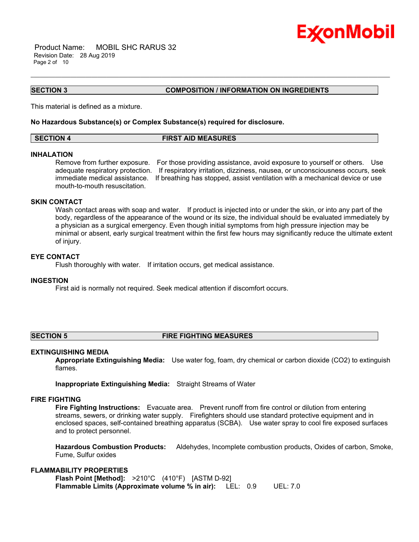

 Product Name: MOBIL SHC RARUS 32 Revision Date: 28 Aug 2019 Page 2 of 10

**SECTION 3 COMPOSITION / INFORMATION ON INGREDIENTS**

This material is defined as a mixture.

#### **No Hazardous Substance(s) or Complex Substance(s) required for disclosure.**

### **SECTION 4 FIRST AID MEASURES**

\_\_\_\_\_\_\_\_\_\_\_\_\_\_\_\_\_\_\_\_\_\_\_\_\_\_\_\_\_\_\_\_\_\_\_\_\_\_\_\_\_\_\_\_\_\_\_\_\_\_\_\_\_\_\_\_\_\_\_\_\_\_\_\_\_\_\_\_\_\_\_\_\_\_\_\_\_\_\_\_\_\_\_\_\_\_\_\_\_\_\_\_\_\_\_\_\_\_\_\_\_\_\_\_\_\_\_\_\_\_\_\_\_\_\_\_\_\_

### **INHALATION**

Remove from further exposure. For those providing assistance, avoid exposure to yourself or others. Use adequate respiratory protection. If respiratory irritation, dizziness, nausea, or unconsciousness occurs, seek immediate medical assistance. If breathing has stopped, assist ventilation with a mechanical device or use mouth-to-mouth resuscitation.

#### **SKIN CONTACT**

Wash contact areas with soap and water. If product is injected into or under the skin, or into any part of the body, regardless of the appearance of the wound or its size, the individual should be evaluated immediately by a physician as a surgical emergency. Even though initial symptoms from high pressure injection may be minimal or absent, early surgical treatment within the first few hours may significantly reduce the ultimate extent of injury.

#### **EYE CONTACT**

Flush thoroughly with water. If irritation occurs, get medical assistance.

#### **INGESTION**

First aid is normally not required. Seek medical attention if discomfort occurs.

#### **SECTION 5 FIRE FIGHTING MEASURES**

### **EXTINGUISHING MEDIA**

**Appropriate Extinguishing Media:** Use water fog, foam, dry chemical or carbon dioxide (CO2) to extinguish flames.

**Inappropriate Extinguishing Media:** Straight Streams of Water

#### **FIRE FIGHTING**

**Fire Fighting Instructions:** Evacuate area. Prevent runoff from fire control or dilution from entering streams, sewers, or drinking water supply. Firefighters should use standard protective equipment and in enclosed spaces, self-contained breathing apparatus (SCBA). Use water spray to cool fire exposed surfaces and to protect personnel.

**Hazardous Combustion Products:** Aldehydes, Incomplete combustion products, Oxides of carbon, Smoke, Fume, Sulfur oxides

### **FLAMMABILITY PROPERTIES**

**Flash Point [Method]:** >210°C (410°F) [ASTM D-92] **Flammable Limits (Approximate volume % in air):** LEL: 0.9 UEL: 7.0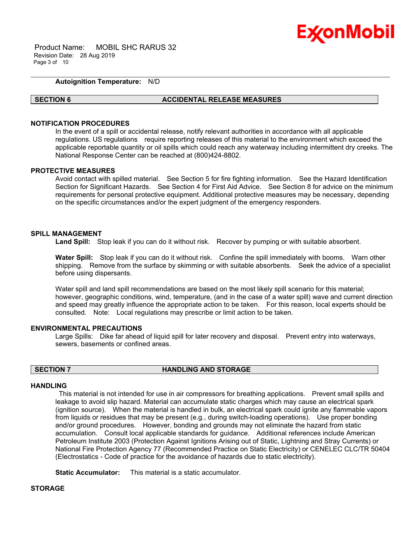

 Product Name: MOBIL SHC RARUS 32 Revision Date: 28 Aug 2019 Page 3 of 10

#### **Autoignition Temperature:** N/D

#### **SECTION 6 ACCIDENTAL RELEASE MEASURES**

\_\_\_\_\_\_\_\_\_\_\_\_\_\_\_\_\_\_\_\_\_\_\_\_\_\_\_\_\_\_\_\_\_\_\_\_\_\_\_\_\_\_\_\_\_\_\_\_\_\_\_\_\_\_\_\_\_\_\_\_\_\_\_\_\_\_\_\_\_\_\_\_\_\_\_\_\_\_\_\_\_\_\_\_\_\_\_\_\_\_\_\_\_\_\_\_\_\_\_\_\_\_\_\_\_\_\_\_\_\_\_\_\_\_\_\_\_\_

#### **NOTIFICATION PROCEDURES**

In the event of a spill or accidental release, notify relevant authorities in accordance with all applicable regulations. US regulations require reporting releases of this material to the environment which exceed the applicable reportable quantity or oil spills which could reach any waterway including intermittent dry creeks. The National Response Center can be reached at (800)424-8802.

#### **PROTECTIVE MEASURES**

Avoid contact with spilled material. See Section 5 for fire fighting information. See the Hazard Identification Section for Significant Hazards. See Section 4 for First Aid Advice. See Section 8 for advice on the minimum requirements for personal protective equipment. Additional protective measures may be necessary, depending on the specific circumstances and/or the expert judgment of the emergency responders.

### **SPILL MANAGEMENT**

Land Spill: Stop leak if you can do it without risk. Recover by pumping or with suitable absorbent.

**Water Spill:** Stop leak if you can do it without risk. Confine the spill immediately with booms. Warn other shipping. Remove from the surface by skimming or with suitable absorbents. Seek the advice of a specialist before using dispersants.

Water spill and land spill recommendations are based on the most likely spill scenario for this material; however, geographic conditions, wind, temperature, (and in the case of a water spill) wave and current direction and speed may greatly influence the appropriate action to be taken. For this reason, local experts should be consulted. Note: Local regulations may prescribe or limit action to be taken.

#### **ENVIRONMENTAL PRECAUTIONS**

Large Spills: Dike far ahead of liquid spill for later recovery and disposal. Prevent entry into waterways, sewers, basements or confined areas.

### **SECTION 7 HANDLING AND STORAGE**

#### **HANDLING**

 This material is not intended for use in air compressors for breathing applications. Prevent small spills and leakage to avoid slip hazard. Material can accumulate static charges which may cause an electrical spark (ignition source). When the material is handled in bulk, an electrical spark could ignite any flammable vapors from liquids or residues that may be present (e.g., during switch-loading operations). Use proper bonding and/or ground procedures. However, bonding and grounds may not eliminate the hazard from static accumulation. Consult local applicable standards for guidance. Additional references include American Petroleum Institute 2003 (Protection Against Ignitions Arising out of Static, Lightning and Stray Currents) or National Fire Protection Agency 77 (Recommended Practice on Static Electricity) or CENELEC CLC/TR 50404 (Electrostatics - Code of practice for the avoidance of hazards due to static electricity).

**Static Accumulator:** This material is a static accumulator.

#### **STORAGE**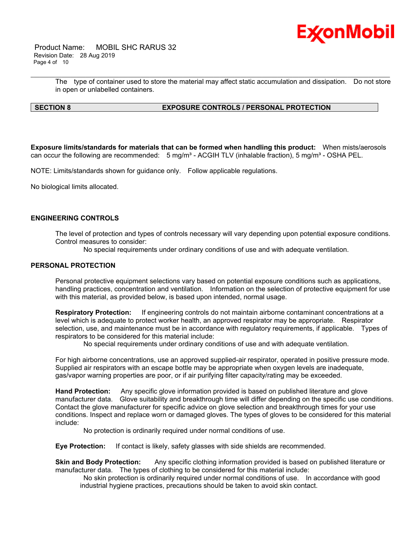

 Product Name: MOBIL SHC RARUS 32 Revision Date: 28 Aug 2019 Page 4 of 10

> The type of container used to store the material may affect static accumulation and dissipation. Do not store in open or unlabelled containers.

\_\_\_\_\_\_\_\_\_\_\_\_\_\_\_\_\_\_\_\_\_\_\_\_\_\_\_\_\_\_\_\_\_\_\_\_\_\_\_\_\_\_\_\_\_\_\_\_\_\_\_\_\_\_\_\_\_\_\_\_\_\_\_\_\_\_\_\_\_\_\_\_\_\_\_\_\_\_\_\_\_\_\_\_\_\_\_\_\_\_\_\_\_\_\_\_\_\_\_\_\_\_\_\_\_\_\_\_\_\_\_\_\_\_\_\_\_\_

### **SECTION 8 EXPOSURE CONTROLS / PERSONAL PROTECTION**

**Exposure limits/standards for materials that can be formed when handling this product:** When mists/aerosols can occur the following are recommended:  $5 \text{ mg/m}^3$  - ACGIH TLV (inhalable fraction),  $5 \text{ mg/m}^3$  - OSHA PEL.

NOTE: Limits/standards shown for guidance only. Follow applicable regulations.

No biological limits allocated.

### **ENGINEERING CONTROLS**

The level of protection and types of controls necessary will vary depending upon potential exposure conditions. Control measures to consider:

No special requirements under ordinary conditions of use and with adequate ventilation.

#### **PERSONAL PROTECTION**

Personal protective equipment selections vary based on potential exposure conditions such as applications, handling practices, concentration and ventilation. Information on the selection of protective equipment for use with this material, as provided below, is based upon intended, normal usage.

**Respiratory Protection:** If engineering controls do not maintain airborne contaminant concentrations at a level which is adequate to protect worker health, an approved respirator may be appropriate. Respirator selection, use, and maintenance must be in accordance with regulatory requirements, if applicable. Types of respirators to be considered for this material include:

No special requirements under ordinary conditions of use and with adequate ventilation.

For high airborne concentrations, use an approved supplied-air respirator, operated in positive pressure mode. Supplied air respirators with an escape bottle may be appropriate when oxygen levels are inadequate, gas/vapor warning properties are poor, or if air purifying filter capacity/rating may be exceeded.

**Hand Protection:** Any specific glove information provided is based on published literature and glove manufacturer data. Glove suitability and breakthrough time will differ depending on the specific use conditions. Contact the glove manufacturer for specific advice on glove selection and breakthrough times for your use conditions. Inspect and replace worn or damaged gloves. The types of gloves to be considered for this material include:

No protection is ordinarily required under normal conditions of use.

**Eye Protection:** If contact is likely, safety glasses with side shields are recommended.

**Skin and Body Protection:** Any specific clothing information provided is based on published literature or manufacturer data. The types of clothing to be considered for this material include:

 No skin protection is ordinarily required under normal conditions of use. In accordance with good industrial hygiene practices, precautions should be taken to avoid skin contact.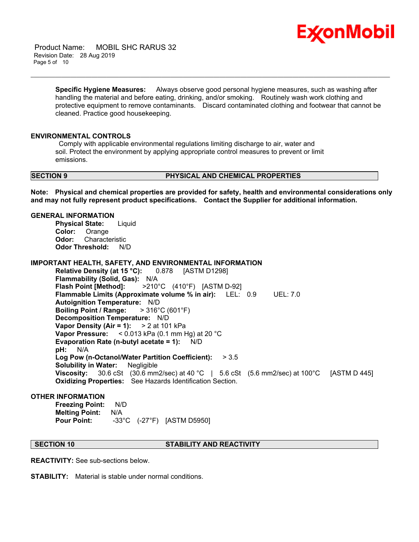

 Product Name: MOBIL SHC RARUS 32 Revision Date: 28 Aug 2019 Page 5 of 10

> **Specific Hygiene Measures:** Always observe good personal hygiene measures, such as washing after handling the material and before eating, drinking, and/or smoking. Routinely wash work clothing and protective equipment to remove contaminants. Discard contaminated clothing and footwear that cannot be cleaned. Practice good housekeeping.

\_\_\_\_\_\_\_\_\_\_\_\_\_\_\_\_\_\_\_\_\_\_\_\_\_\_\_\_\_\_\_\_\_\_\_\_\_\_\_\_\_\_\_\_\_\_\_\_\_\_\_\_\_\_\_\_\_\_\_\_\_\_\_\_\_\_\_\_\_\_\_\_\_\_\_\_\_\_\_\_\_\_\_\_\_\_\_\_\_\_\_\_\_\_\_\_\_\_\_\_\_\_\_\_\_\_\_\_\_\_\_\_\_\_\_\_\_\_

#### **ENVIRONMENTAL CONTROLS**

 Comply with applicable environmental regulations limiting discharge to air, water and soil. Protect the environment by applying appropriate control measures to prevent or limit emissions.

#### **SECTION 9 PHYSICAL AND CHEMICAL PROPERTIES**

**Note: Physical and chemical properties are provided for safety, health and environmental considerations only and may not fully represent product specifications. Contact the Supplier for additional information.**

### **GENERAL INFORMATION**

**Physical State:** Liquid **Color:** Orange **Odor:** Characteristic **Odor Threshold:** N/D

#### **IMPORTANT HEALTH, SAFETY, AND ENVIRONMENTAL INFORMATION**

**Relative Density (at 15 °C):** 0.878 [ASTM D1298] **Flammability (Solid, Gas):** N/A **Flash Point [Method]:** >210°C (410°F) [ASTM D-92] **Flammable Limits (Approximate volume % in air):** LEL: 0.9 UEL: 7.0 **Autoignition Temperature:** N/D **Boiling Point / Range:** > 316°C (601°F) **Decomposition Temperature:** N/D **Vapor Density (Air = 1):** > 2 at 101 kPa **Vapor Pressure:** < 0.013 kPa (0.1 mm Hg) at 20 °C **Evaporation Rate (n-butyl acetate = 1):** N/D **pH:** N/A **Log Pow (n-Octanol/Water Partition Coefficient):** > 3.5 **Solubility in Water:** Negligible **Viscosity:** 30.6 cSt (30.6 mm2/sec) at 40 °C | 5.6 cSt (5.6 mm2/sec) at 100°C [ASTM D 445] **Oxidizing Properties:** See Hazards Identification Section.

#### **OTHER INFORMATION**

**Freezing Point:** N/D **Melting Point:** N/A **Pour Point:** -33°C (-27°F) [ASTM D5950]

### **SECTION 10 STABILITY AND REACTIVITY**

**REACTIVITY:** See sub-sections below.

**STABILITY:** Material is stable under normal conditions.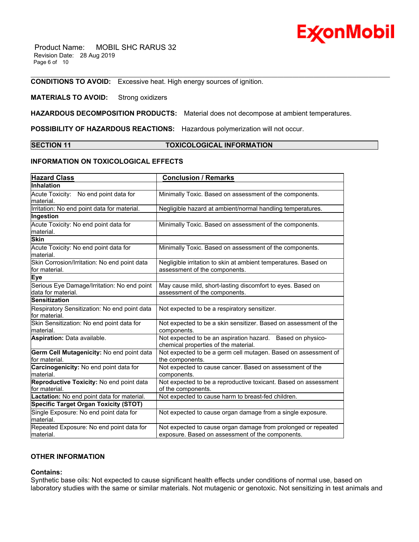# ExconMobil

 Product Name: MOBIL SHC RARUS 32 Revision Date: 28 Aug 2019 Page 6 of 10

**CONDITIONS TO AVOID:** Excessive heat. High energy sources of ignition.

### **MATERIALS TO AVOID:** Strong oxidizers

**HAZARDOUS DECOMPOSITION PRODUCTS:** Material does not decompose at ambient temperatures.

**POSSIBILITY OF HAZARDOUS REACTIONS:** Hazardous polymerization will not occur.

#### **SECTION 11 TOXICOLOGICAL INFORMATION**

\_\_\_\_\_\_\_\_\_\_\_\_\_\_\_\_\_\_\_\_\_\_\_\_\_\_\_\_\_\_\_\_\_\_\_\_\_\_\_\_\_\_\_\_\_\_\_\_\_\_\_\_\_\_\_\_\_\_\_\_\_\_\_\_\_\_\_\_\_\_\_\_\_\_\_\_\_\_\_\_\_\_\_\_\_\_\_\_\_\_\_\_\_\_\_\_\_\_\_\_\_\_\_\_\_\_\_\_\_\_\_\_\_\_\_\_\_\_

### **INFORMATION ON TOXICOLOGICAL EFFECTS**

| <b>Hazard Class</b>                                               | <b>Conclusion / Remarks</b>                                                                                       |  |  |
|-------------------------------------------------------------------|-------------------------------------------------------------------------------------------------------------------|--|--|
| Inhalation                                                        |                                                                                                                   |  |  |
| Acute Toxicity: No end point data for<br>material.                | Minimally Toxic. Based on assessment of the components.                                                           |  |  |
| Irritation: No end point data for material.                       | Negligible hazard at ambient/normal handling temperatures.                                                        |  |  |
| Ingestion                                                         |                                                                                                                   |  |  |
| Acute Toxicity: No end point data for<br>material.                | Minimally Toxic. Based on assessment of the components.                                                           |  |  |
| <b>Skin</b>                                                       |                                                                                                                   |  |  |
| Acute Toxicity: No end point data for<br>material.                | Minimally Toxic. Based on assessment of the components.                                                           |  |  |
| Skin Corrosion/Irritation: No end point data<br>for material.     | Negligible irritation to skin at ambient temperatures. Based on<br>assessment of the components.                  |  |  |
| <b>Eye</b>                                                        |                                                                                                                   |  |  |
| Serious Eye Damage/Irritation: No end point<br>data for material. | May cause mild, short-lasting discomfort to eyes. Based on<br>assessment of the components.                       |  |  |
| <b>Sensitization</b>                                              |                                                                                                                   |  |  |
| Respiratory Sensitization: No end point data<br>for material.     | Not expected to be a respiratory sensitizer.                                                                      |  |  |
| Skin Sensitization: No end point data for<br>material.            | Not expected to be a skin sensitizer. Based on assessment of the<br>components.                                   |  |  |
| Aspiration: Data available.                                       | Not expected to be an aspiration hazard. Based on physico-<br>chemical properties of the material.                |  |  |
| Germ Cell Mutagenicity: No end point data<br>for material.        | Not expected to be a germ cell mutagen. Based on assessment of<br>the components.                                 |  |  |
| Carcinogenicity: No end point data for<br>material.               | Not expected to cause cancer. Based on assessment of the<br>components.                                           |  |  |
| Reproductive Toxicity: No end point data<br>for material.         | Not expected to be a reproductive toxicant. Based on assessment<br>of the components.                             |  |  |
| Lactation: No end point data for material.                        | Not expected to cause harm to breast-fed children.                                                                |  |  |
| <b>Specific Target Organ Toxicity (STOT)</b>                      |                                                                                                                   |  |  |
| Single Exposure: No end point data for<br>material.               | Not expected to cause organ damage from a single exposure.                                                        |  |  |
| Repeated Exposure: No end point data for<br>material.             | Not expected to cause organ damage from prolonged or repeated<br>exposure. Based on assessment of the components. |  |  |

### **OTHER INFORMATION**

#### **Contains:**

Synthetic base oils: Not expected to cause significant health effects under conditions of normal use, based on laboratory studies with the same or similar materials. Not mutagenic or genotoxic. Not sensitizing in test animals and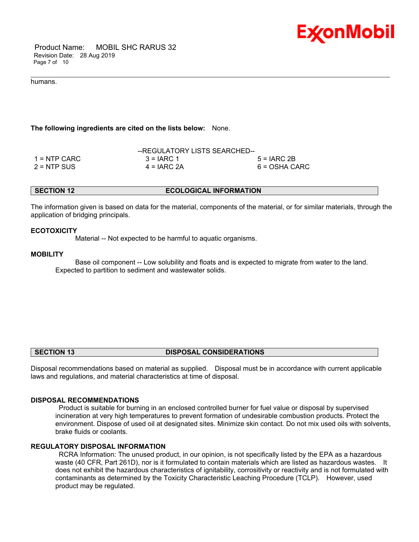

 Product Name: MOBIL SHC RARUS 32 Revision Date: 28 Aug 2019 Page 7 of 10

#### humans.

#### **The following ingredients are cited on the lists below:** None.

|               | --REGULATORY LISTS SEARCHED-- |               |
|---------------|-------------------------------|---------------|
| 1 = NTP CARC  | $3 = IARC 1$                  | $5 = IARC2B$  |
| $2 = NTP$ SUS | $4 = IARC 2A$                 | 6 = OSHA CARC |

**SECTION 12 ECOLOGICAL INFORMATION** 

\_\_\_\_\_\_\_\_\_\_\_\_\_\_\_\_\_\_\_\_\_\_\_\_\_\_\_\_\_\_\_\_\_\_\_\_\_\_\_\_\_\_\_\_\_\_\_\_\_\_\_\_\_\_\_\_\_\_\_\_\_\_\_\_\_\_\_\_\_\_\_\_\_\_\_\_\_\_\_\_\_\_\_\_\_\_\_\_\_\_\_\_\_\_\_\_\_\_\_\_\_\_\_\_\_\_\_\_\_\_\_\_\_\_\_\_\_\_

The information given is based on data for the material, components of the material, or for similar materials, through the application of bridging principals.

#### **ECOTOXICITY**

Material -- Not expected to be harmful to aquatic organisms.

#### **MOBILITY**

 Base oil component -- Low solubility and floats and is expected to migrate from water to the land. Expected to partition to sediment and wastewater solids.

#### **SECTION 13 DISPOSAL CONSIDERATIONS**

Disposal recommendations based on material as supplied. Disposal must be in accordance with current applicable laws and regulations, and material characteristics at time of disposal.

#### **DISPOSAL RECOMMENDATIONS**

 Product is suitable for burning in an enclosed controlled burner for fuel value or disposal by supervised incineration at very high temperatures to prevent formation of undesirable combustion products. Protect the environment. Dispose of used oil at designated sites. Minimize skin contact. Do not mix used oils with solvents, brake fluids or coolants.

#### **REGULATORY DISPOSAL INFORMATION**

 RCRA Information: The unused product, in our opinion, is not specifically listed by the EPA as a hazardous waste (40 CFR, Part 261D), nor is it formulated to contain materials which are listed as hazardous wastes. It does not exhibit the hazardous characteristics of ignitability, corrositivity or reactivity and is not formulated with contaminants as determined by the Toxicity Characteristic Leaching Procedure (TCLP). However, used product may be regulated.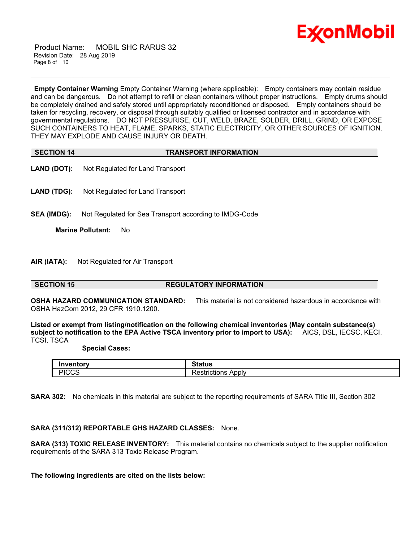

 Product Name: MOBIL SHC RARUS 32 Revision Date: 28 Aug 2019 Page 8 of 10

**Empty Container Warning** Empty Container Warning (where applicable): Empty containers may contain residue and can be dangerous. Do not attempt to refill or clean containers without proper instructions. Empty drums should be completely drained and safely stored until appropriately reconditioned or disposed. Empty containers should be taken for recycling, recovery, or disposal through suitably qualified or licensed contractor and in accordance with governmental regulations. DO NOT PRESSURISE, CUT, WELD, BRAZE, SOLDER, DRILL, GRIND, OR EXPOSE SUCH CONTAINERS TO HEAT, FLAME, SPARKS, STATIC ELECTRICITY, OR OTHER SOURCES OF IGNITION. THEY MAY EXPLODE AND CAUSE INJURY OR DEATH.

\_\_\_\_\_\_\_\_\_\_\_\_\_\_\_\_\_\_\_\_\_\_\_\_\_\_\_\_\_\_\_\_\_\_\_\_\_\_\_\_\_\_\_\_\_\_\_\_\_\_\_\_\_\_\_\_\_\_\_\_\_\_\_\_\_\_\_\_\_\_\_\_\_\_\_\_\_\_\_\_\_\_\_\_\_\_\_\_\_\_\_\_\_\_\_\_\_\_\_\_\_\_\_\_\_\_\_\_\_\_\_\_\_\_\_\_\_\_

| <b>SECTION 14</b> | <b>TRANSPORT INFORMATION</b> |  |
|-------------------|------------------------------|--|

- **LAND (DOT):** Not Regulated for Land Transport
- **LAND (TDG):** Not Regulated for Land Transport
- **SEA (IMDG):** Not Regulated for Sea Transport according to IMDG-Code

**Marine Pollutant:** No

**AIR (IATA):** Not Regulated for Air Transport

### **SECTION 15 REGULATORY INFORMATION**

**OSHA HAZARD COMMUNICATION STANDARD:** This material is not considered hazardous in accordance with OSHA HazCom 2012, 29 CFR 1910.1200.

**Listed or exempt from listing/notification on the following chemical inventories (May contain substance(s) subject to notification to the EPA Active TSCA inventory prior to import to USA):** AICS, DSL, IECSC, KECI, TCSI, TSCA

 **Special Cases:**

|               | $S$ totue                                                        |
|---------------|------------------------------------------------------------------|
| ш             | alus                                                             |
| DICCS<br>יטטט | $\overline{\phantom{a}}$<br>Applv<br>.<br>TICTIONS<br>Л×.<br>. . |

**SARA 302:** No chemicals in this material are subject to the reporting requirements of SARA Title III, Section 302

### **SARA (311/312) REPORTABLE GHS HAZARD CLASSES:** None.

**SARA (313) TOXIC RELEASE INVENTORY:** This material contains no chemicals subject to the supplier notification requirements of the SARA 313 Toxic Release Program.

**The following ingredients are cited on the lists below:**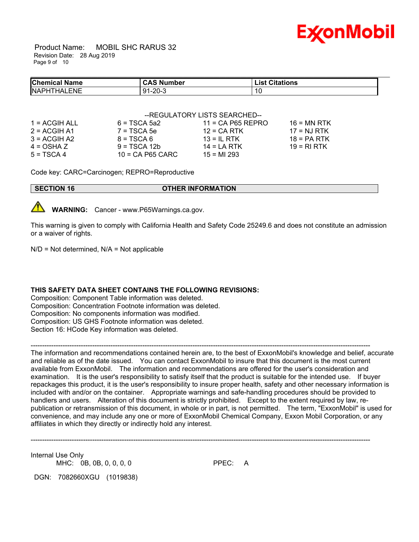

 Product Name: MOBIL SHC RARUS 32 Revision Date: 28 Aug 2019 Page 9 of 10

| <b>Chemical Name</b>         | <b>CAS Number</b> | <b>List Citations</b> |  |
|------------------------------|-------------------|-----------------------|--|
| <b>NAPHT</b><br>.ENE<br>`HAI | 91-20-3           | 10                    |  |

|               | --REGULATORY LISTS SEARCHED-- |                     |               |  |
|---------------|-------------------------------|---------------------|---------------|--|
| 1 = ACGIH ALL | $6 = TSCA 5a2$                | $11 = CA$ P65 REPRO | $16$ = MN RTK |  |
| 2 = ACGIH A1  | $7 = TSCA5e$                  | $12$ = CA RTK       | $17 = NJ RTK$ |  |
| 3 = ACGIH A2  | $8 = TSCA6$                   | $13 = ILRTK$        | $18 = PA RTK$ |  |
| 4 = OSHA Z    | $9 = TSCA 12b$                | $14 = LA RTK$       | 19 = RI RTK   |  |
| 5 = TSCA 4    | $10 = CA$ P65 CARC            | $15 = M1 293$       |               |  |

Code key: CARC=Carcinogen; REPRO=Reproductive

**SECTION 16 OTHER INFORMATION**



**WARNING:** Cancer - www.P65Warnings.ca.gov.

This warning is given to comply with California Health and Safety Code 25249.6 and does not constitute an admission or a waiver of rights.

 $N/D$  = Not determined,  $N/A$  = Not applicable

### **THIS SAFETY DATA SHEET CONTAINS THE FOLLOWING REVISIONS:**

Composition: Component Table information was deleted. Composition: Concentration Footnote information was deleted. Composition: No components information was modified. Composition: US GHS Footnote information was deleted. Section 16: HCode Key information was deleted.

-----------------------------------------------------------------------------------------------------------------------------------------------------

The information and recommendations contained herein are, to the best of ExxonMobil's knowledge and belief, accurate and reliable as of the date issued. You can contact ExxonMobil to insure that this document is the most current available from ExxonMobil. The information and recommendations are offered for the user's consideration and examination. It is the user's responsibility to satisfy itself that the product is suitable for the intended use. If buyer repackages this product, it is the user's responsibility to insure proper health, safety and other necessary information is included with and/or on the container. Appropriate warnings and safe-handling procedures should be provided to handlers and users. Alteration of this document is strictly prohibited. Except to the extent required by law, republication or retransmission of this document, in whole or in part, is not permitted. The term, "ExxonMobil" is used for convenience, and may include any one or more of ExxonMobil Chemical Company, Exxon Mobil Corporation, or any affiliates in which they directly or indirectly hold any interest.

-----------------------------------------------------------------------------------------------------------------------------------------------------

Internal Use Only MHC: 0B, 0B, 0, 0, 0, 0 PPEC: A

DGN: 7082660XGU (1019838)